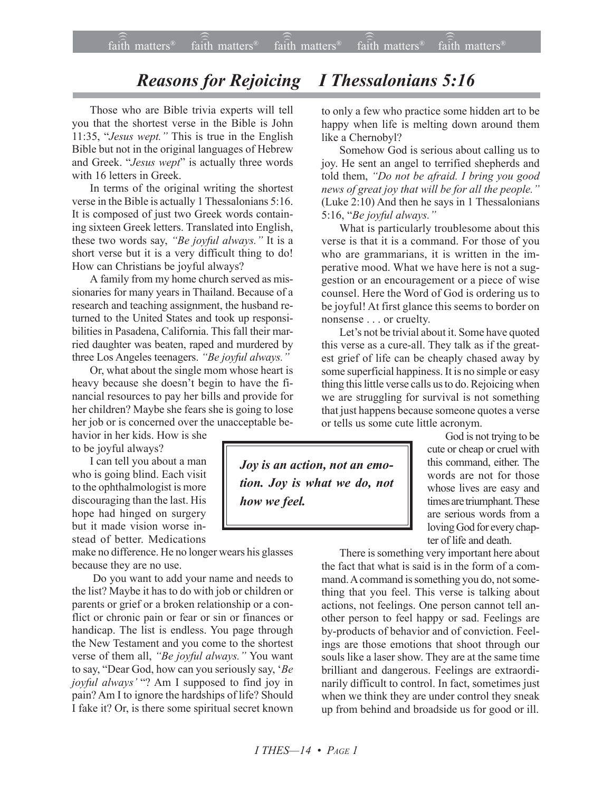## *Reasons for Rejoicing I Thessalonians 5:16*

Those who are Bible trivia experts will tell you that the shortest verse in the Bible is John 11:35, "Jesus wept." This is true in the English Bible but not in the original languages of Hebrew and Greek. "*Jesus wept*" is actually three words with 16 letters in Greek.

In terms of the original writing the shortest verse in the Bible is actually 1 Thessalonians 5:16. It is composed of just two Greek words containing sixteen Greek letters. Translated into English, these two words say, "Be joyful always." It is a short verse but it is a very difficult thing to do! How can Christians be joyful always?

A family from my home church served as missionaries for many years in Thailand. Because of a research and teaching assignment, the husband returned to the United States and took up responsibilities in Pasadena, California. This fall their married daughter was beaten, raped and murdered by three Los Angeles teenagers. "Be joyful always."

Or, what about the single mom whose heart is heavy because she doesn't begin to have the financial resources to pay her bills and provide for her children? Maybe she fears she is going to lose her job or is concerned over the unacceptable be-

havior in her kids. How is she to be joyful always?

I can tell you about a man who is going blind. Each visit to the ophthalmologist is more discouraging than the last. His hope had hinged on surgery but it made vision worse instead of better. Medications

make no difference. He no longer wears his glasses because they are no use.

 Do you want to add your name and needs to the list? Maybe it has to do with job or children or parents or grief or a broken relationship or a conflict or chronic pain or fear or sin or finances or handicap. The list is endless. You page through the New Testament and you come to the shortest verse of them all, *"Be joyful always.*" You want to say, "Dear God, how can you seriously say, 'Be joyful always' "? Am I supposed to find joy in pain? Am I to ignore the hardships of life? Should I fake it? Or, is there some spiritual secret known

to only a few who practice some hidden art to be happy when life is melting down around them like a Chernobyl?

Somehow God is serious about calling us to joy. He sent an angel to terrified shepherds and told them, "Do not be afraid. I bring you good *news of great joy that will be for all the people.*<sup>*n*</sup> (Luke 2:10) And then he says in 1 Thessalonians 5:16, *"Be joyful always.*"

What is particularly troublesome about this verse is that it is a command. For those of you who are grammarians, it is written in the imperative mood. What we have here is not a suggestion or an encouragement or a piece of wise counsel. Here the Word of God is ordering us to be joyful! At first glance this seems to border on nonsense . . . or cruelty.

Let's not be trivial about it. Some have quoted this verse as a cure-all. They talk as if the greatest grief of life can be cheaply chased away by some superficial happiness. It is no simple or easy thing this little verse calls us to do. Rejoicing when we are struggling for survival is not something that just happens because someone quotes a verse or tells us some cute little acronym.

*Joy is an action, not an emotion. Joy is what we do, not how we feel.*

God is not trying to be cute or cheap or cruel with this command, either. The words are not for those whose lives are easy and times are triumphant. These are serious words from a loving God for every chapter of life and death.

There is something very important here about the fact that what is said is in the form of a command. A command is something you do, not something that you feel. This verse is talking about actions, not feelings. One person cannot tell another person to feel happy or sad. Feelings are by-products of behavior and of conviction. Feelings are those emotions that shoot through our souls like a laser show. They are at the same time brilliant and dangerous. Feelings are extraordinarily difficult to control. In fact, sometimes just when we think they are under control they sneak up from behind and broadside us for good or ill.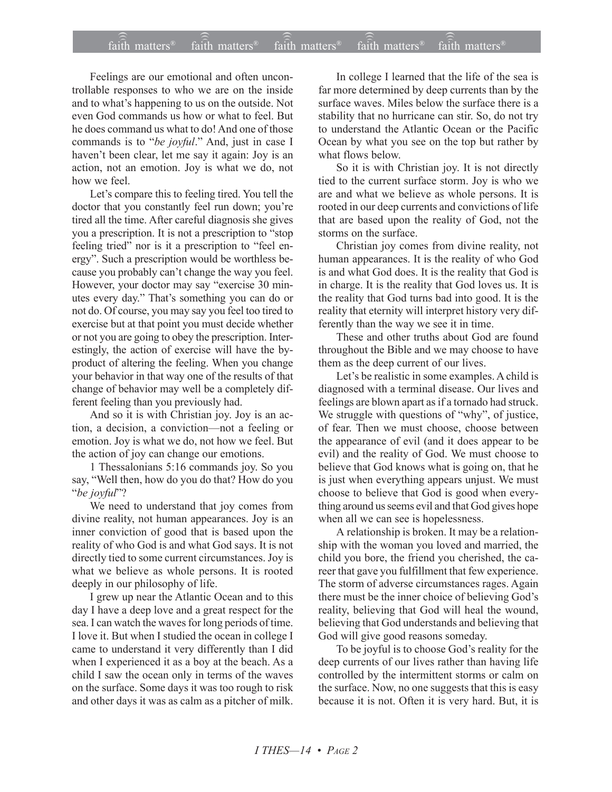## faith matters<sup>®</sup> faith matters<sup>®</sup> faith matters<sup>®</sup> faith matters<sup>®</sup> faith matters<sup>®</sup>

Feelings are our emotional and often uncontrollable responses to who we are on the inside and to what's happening to us on the outside. Not even God commands us how or what to feel. But he does command us what to do! And one of those commands is to "be joyful." And, just in case I haven't been clear, let me say it again: Joy is an action, not an emotion. Joy is what we do, not how we feel.

Let's compare this to feeling tired. You tell the doctor that you constantly feel run down; you're tired all the time. After careful diagnosis she gives you a prescription. It is not a prescription to "stop feeling tried" nor is it a prescription to "feel energy". Such a prescription would be worthless because you probably can't change the way you feel. However, your doctor may say "exercise 30 minutes every day." That's something you can do or not do. Of course, you may say you feel too tired to exercise but at that point you must decide whether or not you are going to obey the prescription. Interestingly, the action of exercise will have the byproduct of altering the feeling. When you change your behavior in that way one of the results of that change of behavior may well be a completely different feeling than you previously had.

And so it is with Christian joy. Joy is an action, a decision, a conviction-not a feeling or emotion. Joy is what we do, not how we feel. But the action of joy can change our emotions.

1 Thessalonians 5:16 commands joy. So you say, "Well then, how do you do that? How do you "be joyful"?

We need to understand that joy comes from divine reality, not human appearances. Joy is an inner conviction of good that is based upon the reality of who God is and what God says. It is not directly tied to some current circumstances. Joy is what we believe as whole persons. It is rooted deeply in our philosophy of life.

I grew up near the Atlantic Ocean and to this day I have a deep love and a great respect for the sea. I can watch the waves for long periods of time. I love it. But when I studied the ocean in college I came to understand it very differently than I did when I experienced it as a boy at the beach. As a child I saw the ocean only in terms of the waves on the surface. Some days it was too rough to risk and other days it was as calm as a pitcher of milk.

In college I learned that the life of the sea is far more determined by deep currents than by the surface waves. Miles below the surface there is a stability that no hurricane can stir. So, do not try to understand the Atlantic Ocean or the Pacific Ocean by what you see on the top but rather by what flows below.

So it is with Christian joy. It is not directly tied to the current surface storm. Joy is who we are and what we believe as whole persons. It is rooted in our deep currents and convictions of life that are based upon the reality of God, not the storms on the surface.

Christian joy comes from divine reality, not human appearances. It is the reality of who God is and what God does. It is the reality that God is in charge. It is the reality that God loves us. It is the reality that God turns bad into good. It is the reality that eternity will interpret history very differently than the way we see it in time.

These and other truths about God are found throughout the Bible and we may choose to have them as the deep current of our lives.

Let's be realistic in some examples. A child is diagnosed with a terminal disease. Our lives and feelings are blown apart as if a tornado had struck. We struggle with questions of "why", of justice, of fear. Then we must choose, choose between the appearance of evil (and it does appear to be evil) and the reality of God. We must choose to believe that God knows what is going on, that he is just when everything appears unjust. We must choose to believe that God is good when everything around us seems evil and that God gives hope when all we can see is hopelessness.

A relationship is broken. It may be a relationship with the woman you loved and married, the child you bore, the friend you cherished, the career that gave you fulfillment that few experience. The storm of adverse circumstances rages. Again there must be the inner choice of believing God's reality, believing that God will heal the wound, believing that God understands and believing that God will give good reasons someday.

To be joyful is to choose God's reality for the deep currents of our lives rather than having life controlled by the intermittent storms or calm on the surface. Now, no one suggests that this is easy because it is not. Often it is very hard. But, it is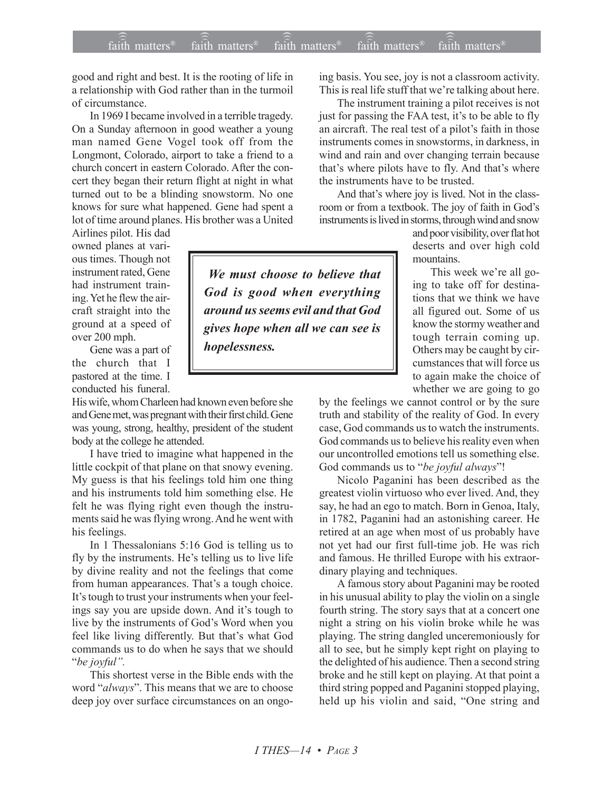good and right and best. It is the rooting of life in a relationship with God rather than in the turmoil of circumstance.

In 1969 I became involved in a terrible tragedy. On a Sunday afternoon in good weather a young man named Gene Vogel took off from the Longmont, Colorado, airport to take a friend to a church concert in eastern Colorado. After the concert they began their return flight at night in what turned out to be a blinding snowstorm. No one knows for sure what happened. Gene had spent a lot of time around planes. His brother was a United

Airlines pilot. His dad owned planes at various times. Though not instrument rated, Gene had instrument training. Yet he flew the aircraft straight into the ground at a speed of over 200 mph.

Gene was a part of the church that I pastored at the time. I conducted his funeral.

His wife, whom Charleen had known even before she and Gene met, was pregnant with their first child. Gene was young, strong, healthy, president of the student body at the college he attended.

I have tried to imagine what happened in the little cockpit of that plane on that snowy evening. My guess is that his feelings told him one thing and his instruments told him something else. He felt he was flying right even though the instruments said he was flying wrong. And he went with his feelings.

In 1 Thessalonians 5:16 God is telling us to fly by the instruments. He's telling us to live life by divine reality and not the feelings that come from human appearances. That's a tough choice. It's tough to trust your instruments when your feelings say you are upside down. And it's tough to live by the instruments of God's Word when you feel like living differently. But that's what God commands us to do when he says that we should *<sup>"</sup>be joyful"*.

This shortest verse in the Bible ends with the word "*always*". This means that we are to choose deep joy over surface circumstances on an ongoing basis. You see, joy is not a classroom activity. This is real life stuff that we're talking about here.

The instrument training a pilot receives is not just for passing the FAA test, it's to be able to fly an aircraft. The real test of a pilot's faith in those instruments comes in snowstorms, in darkness, in wind and rain and over changing terrain because that's where pilots have to fly. And that's where the instruments have to be trusted.

And that's where joy is lived. Not in the classroom or from a textbook. The joy of faith in God's instruments is lived in storms, through wind and snow

> and poor visibility, over flat hot deserts and over high cold mountains.

> This week we're all going to take off for destinations that we think we have all figured out. Some of us know the stormy weather and tough terrain coming up. Others may be caught by circumstances that will force us to again make the choice of whether we are going to go

by the feelings we cannot control or by the sure truth and stability of the reality of God. In every case, God commands us to watch the instruments. God commands us to believe his reality even when our uncontrolled emotions tell us something else. God commands us to "be joyful always"!

Nicolo Paganini has been described as the greatest violin virtuoso who ever lived. And, they say, he had an ego to match. Born in Genoa, Italy, in 1782, Paganini had an astonishing career. He retired at an age when most of us probably have not yet had our first full-time job. He was rich and famous. He thrilled Europe with his extraordinary playing and techniques.

A famous story about Paganini may be rooted in his unusual ability to play the violin on a single fourth string. The story says that at a concert one night a string on his violin broke while he was playing. The string dangled unceremoniously for all to see, but he simply kept right on playing to the delighted of his audience. Then a second string broke and he still kept on playing. At that point a third string popped and Paganini stopped playing, held up his violin and said, "One string and

 *We must choose to believe that God is good when everything around us seems evil and that God gives hope when all we can see is hopelessness.*